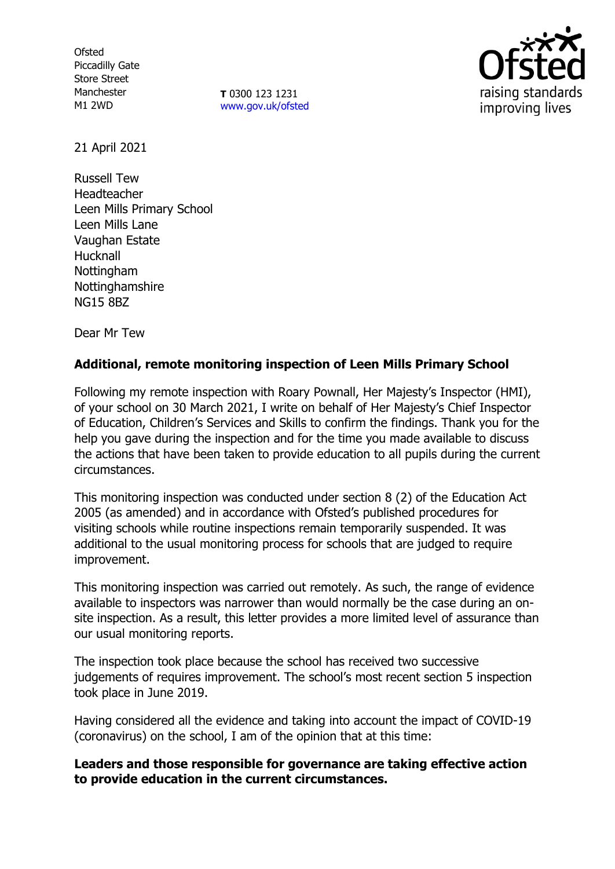**Ofsted** Piccadilly Gate Store Street Manchester M1 2WD

**T** 0300 123 1231 [www.gov.uk/ofsted](http://www.gov.uk/ofsted)



21 April 2021

Russell Tew Headteacher Leen Mills Primary School Leen Mills Lane Vaughan Estate Hucknall Nottingham Nottinghamshire NG15 8BZ

Dear Mr Tew

# **Additional, remote monitoring inspection of Leen Mills Primary School**

Following my remote inspection with Roary Pownall, Her Majesty's Inspector (HMI), of your school on 30 March 2021, I write on behalf of Her Majesty's Chief Inspector of Education, Children's Services and Skills to confirm the findings. Thank you for the help you gave during the inspection and for the time you made available to discuss the actions that have been taken to provide education to all pupils during the current circumstances.

This monitoring inspection was conducted under section 8 (2) of the Education Act 2005 (as amended) and in accordance with Ofsted's published procedures for visiting schools while routine inspections remain temporarily suspended. It was additional to the usual monitoring process for schools that are judged to require improvement.

This monitoring inspection was carried out remotely. As such, the range of evidence available to inspectors was narrower than would normally be the case during an onsite inspection. As a result, this letter provides a more limited level of assurance than our usual monitoring reports.

The inspection took place because the school has received two successive judgements of requires improvement. The school's most recent section 5 inspection took place in June 2019.

Having considered all the evidence and taking into account the impact of COVID-19 (coronavirus) on the school, I am of the opinion that at this time:

## **Leaders and those responsible for governance are taking effective action to provide education in the current circumstances.**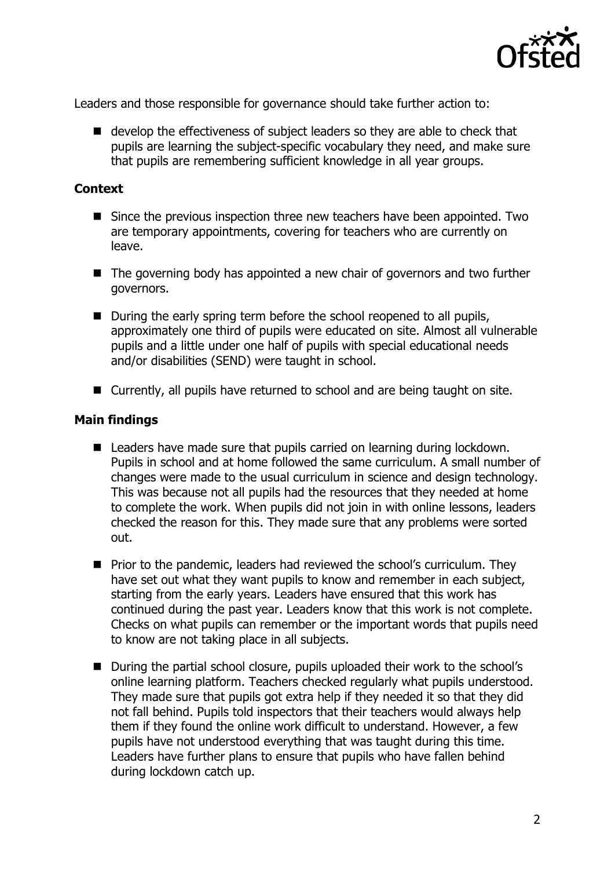

Leaders and those responsible for governance should take further action to:

■ develop the effectiveness of subject leaders so they are able to check that pupils are learning the subject-specific vocabulary they need, and make sure that pupils are remembering sufficient knowledge in all year groups.

### **Context**

- Since the previous inspection three new teachers have been appointed. Two are temporary appointments, covering for teachers who are currently on leave.
- The governing body has appointed a new chair of governors and two further governors.
- During the early spring term before the school reopened to all pupils, approximately one third of pupils were educated on site. Almost all vulnerable pupils and a little under one half of pupils with special educational needs and/or disabilities (SEND) were taught in school.
- Currently, all pupils have returned to school and are being taught on site.

#### **Main findings**

- Leaders have made sure that pupils carried on learning during lockdown. Pupils in school and at home followed the same curriculum. A small number of changes were made to the usual curriculum in science and design technology. This was because not all pupils had the resources that they needed at home to complete the work. When pupils did not join in with online lessons, leaders checked the reason for this. They made sure that any problems were sorted out.
- **Prior to the pandemic, leaders had reviewed the school's curriculum. They** have set out what they want pupils to know and remember in each subject, starting from the early years. Leaders have ensured that this work has continued during the past year. Leaders know that this work is not complete. Checks on what pupils can remember or the important words that pupils need to know are not taking place in all subjects.
- During the partial school closure, pupils uploaded their work to the school's online learning platform. Teachers checked regularly what pupils understood. They made sure that pupils got extra help if they needed it so that they did not fall behind. Pupils told inspectors that their teachers would always help them if they found the online work difficult to understand. However, a few pupils have not understood everything that was taught during this time. Leaders have further plans to ensure that pupils who have fallen behind during lockdown catch up.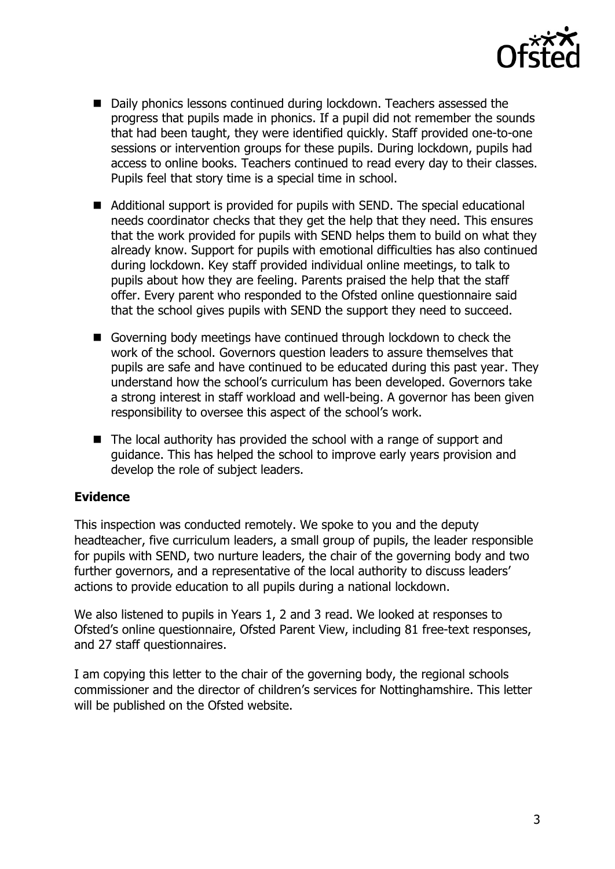

- Daily phonics lessons continued during lockdown. Teachers assessed the progress that pupils made in phonics. If a pupil did not remember the sounds that had been taught, they were identified quickly. Staff provided one-to-one sessions or intervention groups for these pupils. During lockdown, pupils had access to online books. Teachers continued to read every day to their classes. Pupils feel that story time is a special time in school.
- Additional support is provided for pupils with SEND. The special educational needs coordinator checks that they get the help that they need. This ensures that the work provided for pupils with SEND helps them to build on what they already know. Support for pupils with emotional difficulties has also continued during lockdown. Key staff provided individual online meetings, to talk to pupils about how they are feeling. Parents praised the help that the staff offer. Every parent who responded to the Ofsted online questionnaire said that the school gives pupils with SEND the support they need to succeed.
- Governing body meetings have continued through lockdown to check the work of the school. Governors question leaders to assure themselves that pupils are safe and have continued to be educated during this past year. They understand how the school's curriculum has been developed. Governors take a strong interest in staff workload and well-being. A governor has been given responsibility to oversee this aspect of the school's work.
- The local authority has provided the school with a range of support and guidance. This has helped the school to improve early years provision and develop the role of subject leaders.

## **Evidence**

This inspection was conducted remotely. We spoke to you and the deputy headteacher, five curriculum leaders, a small group of pupils, the leader responsible for pupils with SEND, two nurture leaders, the chair of the governing body and two further governors, and a representative of the local authority to discuss leaders' actions to provide education to all pupils during a national lockdown.

We also listened to pupils in Years 1, 2 and 3 read. We looked at responses to Ofsted's online questionnaire, Ofsted Parent View, including 81 free-text responses, and 27 staff questionnaires.

I am copying this letter to the chair of the governing body, the regional schools commissioner and the director of children's services for Nottinghamshire. This letter will be published on the Ofsted website.